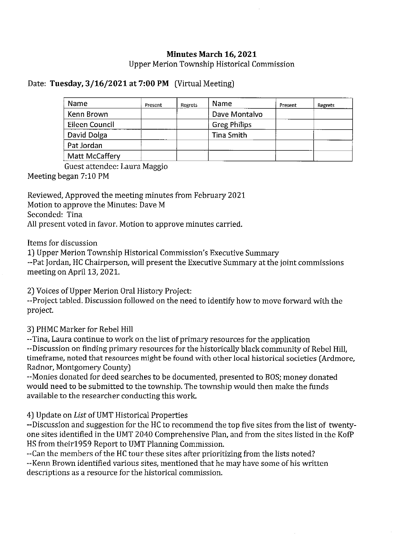## Minutes March 16, 2021

Upper Merion Township Historical Commission

## Date: Tuesday, 3/16/2021 at 7:00 PM (Virtual Meeting)

| Name           | Present | Regrets | Name                | Present | Regrets |
|----------------|---------|---------|---------------------|---------|---------|
| Kenn Brown     |         |         | Dave Montalvo       |         |         |
| Eileen Council |         |         | <b>Greg Philips</b> |         |         |
| David Dolga    |         |         | Tina Smith          |         |         |
| Pat Jordan     |         |         |                     |         |         |
| Matt McCaffery |         |         |                     |         |         |

Guest attendee: Laura Maggio

Meeting began 7:10 PM

Reviewed, Approved the meeting minutes from February 2021 Motion to approve the Minutes: Dave M Seconded: Tina All present voted in favor. Motion to approve minutes carried.

Items for discussion

1) Upper Merion Township Historical Commission's Executive Summary

-Pat Jordan, HC Chairperson, will present the Executive Summary at the joint commissions meeting on April 13, 2021.

2) Voices of Upper Merion Oral History Project:

--Project tabled. Discussion followed on the need to identify how to move forward with the project.

3) PHMC Marker for Rebel Hill

- Tina, Laura continue to work on the list of primary resources for the application - Discussion on finding primary resources for the historically black community of Rebel Hill, timeframe, noted that resources might be found with other local historical societies (Ardmore, Radnor, Montgomery County)

-Monies donated for deed searches to be documented, presented to BOS; money donated would need to be submitted to the township. The township would then make the funds available to the researcher conducting this work.

4) Update on List of UMT Historical Properties

-Discussion and suggestion for the HC to recommend the top five sites from the list of twentyone sites identified in the UMT 2040 Comprehensive Plan, and from the sites listed in the KofP HS from theirl959 Report to UMT Planning Commission.

- Can the members of the HC tour these sites after prioritizing from the lists noted? - Kenn Brown identified various sites, mentioned that he may have some of his written descriptions as a resource for the historical commission.